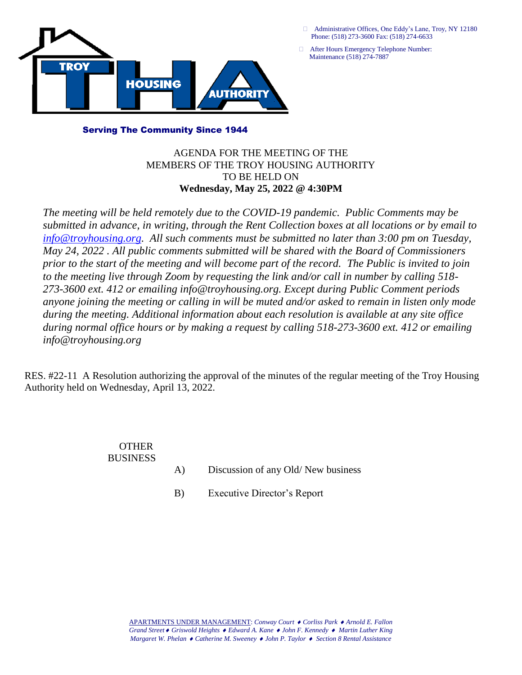

 Administrative Offices, One Eddy's Lane, Troy, NY 12180 Phone: (518) 273-3600 Fax: (518) 274-6633

 After Hours Emergency Telephone Number: Maintenance (518) 274-7887

#### Serving The Community Since 1944

### AGENDA FOR THE MEETING OF THE MEMBERS OF THE TROY HOUSING AUTHORITY TO BE HELD ON **Wednesday, May 25, 2022 @ 4:30PM**

*The meeting will be held remotely due to the COVID-19 pandemic. Public Comments may be submitted in advance, in writing, through the Rent Collection boxes at all locations or by email to [info@troyhousing.org.](mailto:info@troyhousing.org) All such comments must be submitted no later than 3:00 pm on Tuesday, May 24, 2022 . All public comments submitted will be shared with the Board of Commissioners prior to the start of the meeting and will become part of the record. The Public is invited to join to the meeting live through Zoom by requesting the link and/or call in number by calling 518- 273-3600 ext. 412 or emailing info@troyhousing.org. Except during Public Comment periods anyone joining the meeting or calling in will be muted and/or asked to remain in listen only mode during the meeting. Additional information about each resolution is available at any site office during normal office hours or by making a request by calling 518-273-3600 ext. 412 or emailing info@troyhousing.org*

RES. #22-11 A Resolution authorizing the approval of the minutes of the regular meeting of the Troy Housing Authority held on Wednesday, April 13, 2022.

#### **OTHER** BUSINESS

- A) Discussion of any Old/ New business
- B) Executive Director's Report